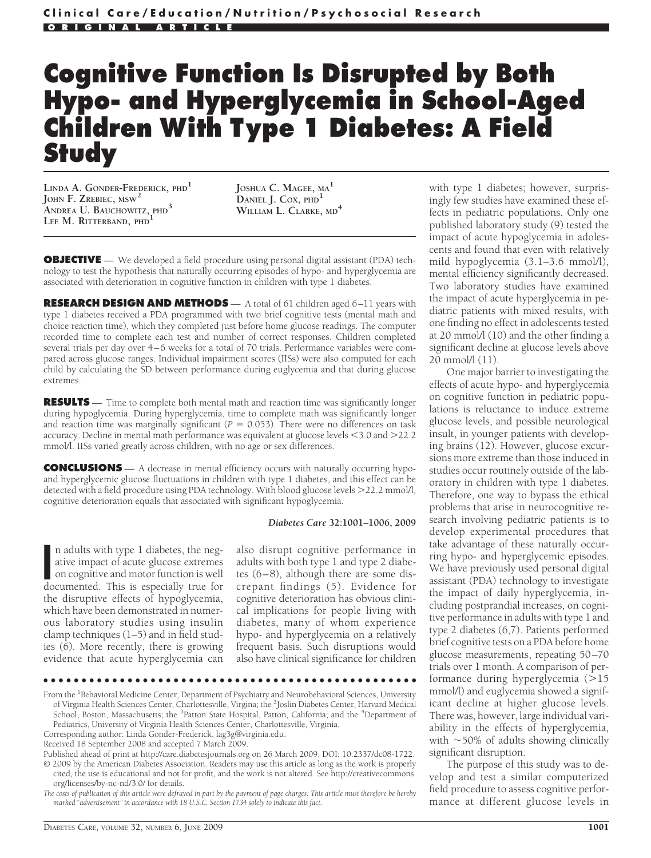# **Cognitive Function Is Disrupted by Both Hypo- and Hyperglycemia in School-Aged Children With Type 1 Diabetes: A Field Study**

**LINDA A. GONDER-FREDERICK, PHD<sup>1</sup> JOHN F. ZREBIEC, MSW<sup>2</sup> ANDREA U. BAUCHOWITZ, PHD<sup>3</sup> LEE M. RITTERBAND, PHD<sup>1</sup>**

**JOSHUA C. MAGEE, MA<sup>1</sup> DANIEL J. COX, PHD<sup>1</sup> WILLIAM L. CLARKE, MD<sup>4</sup>**

**OBJECTIVE** — We developed a field procedure using personal digital assistant (PDA) technology to test the hypothesis that naturally occurring episodes of hypo- and hyperglycemia are associated with deterioration in cognitive function in children with type 1 diabetes.

**RESEARCH DESIGN AND METHODS** — A total of 61 children aged 6–11 years with type 1 diabetes received a PDA programmed with two brief cognitive tests (mental math and choice reaction time), which they completed just before home glucose readings. The computer recorded time to complete each test and number of correct responses. Children completed several trials per day over 4–6 weeks for a total of 70 trials. Performance variables were compared across glucose ranges. Individual impairment scores (IISs) were also computed for each child by calculating the SD between performance during euglycemia and that during glucose extremes.

**RESULTS** — Time to complete both mental math and reaction time was significantly longer during hypoglycemia. During hyperglycemia, time to complete math was significantly longer and reaction time was marginally significant ( $P = 0.053$ ). There were no differences on task accuracy. Decline in mental math performance was equivalent at glucose levels -3.0 and 22.2 mmol/l. IISs varied greatly across children, with no age or sex differences.

**CONCLUSIONS** — A decrease in mental efficiency occurs with naturally occurring hypoand hyperglycemic glucose fluctuations in children with type 1 diabetes, and this effect can be detected with a field procedure using PDA technology. With blood glucose levels  $>$ 22.2 mmol/l, cognitive deterioration equals that associated with significant hypoglycemia.

#### *Diabetes Care* **32:1001–1006, 2009**

In adults with type 1 diabetes, the negative impact of acute glucose extremes on cognitive and motor function is well documented. This is especially true for n adults with type 1 diabetes, the negative impact of acute glucose extremes on cognitive and motor function is well the disruptive effects of hypoglycemia, which have been demonstrated in numerous laboratory studies using insulin clamp techniques (1–5) and in field studies (6). More recently, there is growing evidence that acute hyperglycemia can

also disrupt cognitive performance in adults with both type 1 and type 2 diabetes (6–8), although there are some discrepant findings (5). Evidence for cognitive deterioration has obvious clinical implications for people living with diabetes, many of whom experience hypo- and hyperglycemia on a relatively frequent basis. Such disruptions would also have clinical significance for children

●●●●●●●●●●●●●●●●●●●●●●●●●●●●●●●●●●●●●●●●●●●●●●●●●

From the <sup>1</sup>Behavioral Medicine Center, Department of Psychiatry and Neurobehavioral Sciences, University of Virginia Health Sciences Center, Charlottesville, Virgina; the <sup>2</sup>Joslin Diabetes Center, Harvard Medical School, Boston, Massachusetts; the <sup>3</sup>Patton State Hospital, Patton, California; and the <sup>4</sup>Department of Pediatrics, University of Virginia Health Sciences Center, Charlottesville, Virginia.

Corresponding author: Linda Gonder-Frederick, lag3g@virginia.edu.

Published ahead of print at http://care.diabetesjournals.org on 26 March 2009. DOI: 10.2337/dc08-1722. © 2009 by the American Diabetes Association. Readers may use this article as long as the work is properly cited, the use is educational and not for profit, and the work is not altered. See http://creativecommons. org/licenses/by-nc-nd/3.0/ for details.

*The costs of publication of this article were defrayed in part by the payment of page charges. This article must therefore be hereby marked "advertisement" in accordance with 18 U.S.C. Section 1734 solely to indicate this fact.*

with type 1 diabetes; however, surprisingly few studies have examined these effects in pediatric populations. Only one published laboratory study (9) tested the impact of acute hypoglycemia in adolescents and found that even with relatively mild hypoglycemia (3.1–3.6 mmol/l), mental efficiency significantly decreased. Two laboratory studies have examined the impact of acute hyperglycemia in pediatric patients with mixed results, with one finding no effect in adolescents tested at 20 mmol/l (10) and the other finding a significant decline at glucose levels above 20 mmol/l (11).

One major barrier to investigating the effects of acute hypo- and hyperglycemia on cognitive function in pediatric populations is reluctance to induce extreme glucose levels, and possible neurological insult, in younger patients with developing brains (12). However, glucose excursions more extreme than those induced in studies occur routinely outside of the laboratory in children with type 1 diabetes. Therefore, one way to bypass the ethical problems that arise in neurocognitive research involving pediatric patients is to develop experimental procedures that take advantage of these naturally occurring hypo- and hyperglycemic episodes. We have previously used personal digital assistant (PDA) technology to investigate the impact of daily hyperglycemia, including postprandial increases, on cognitive performance in adults with type 1 and type 2 diabetes (6,7). Patients performed brief cognitive tests on a PDA before home glucose measurements, repeating 50–70 trials over 1 month. A comparison of performance during hyperglycemia  $(>15$ mmol/l) and euglycemia showed a significant decline at higher glucose levels. There was, however, large individual variability in the effects of hyperglycemia, with  $\sim$  50% of adults showing clinically significant disruption.

The purpose of this study was to develop and test a similar computerized field procedure to assess cognitive performance at different glucose levels in

Received 18 September 2008 and accepted 7 March 2009.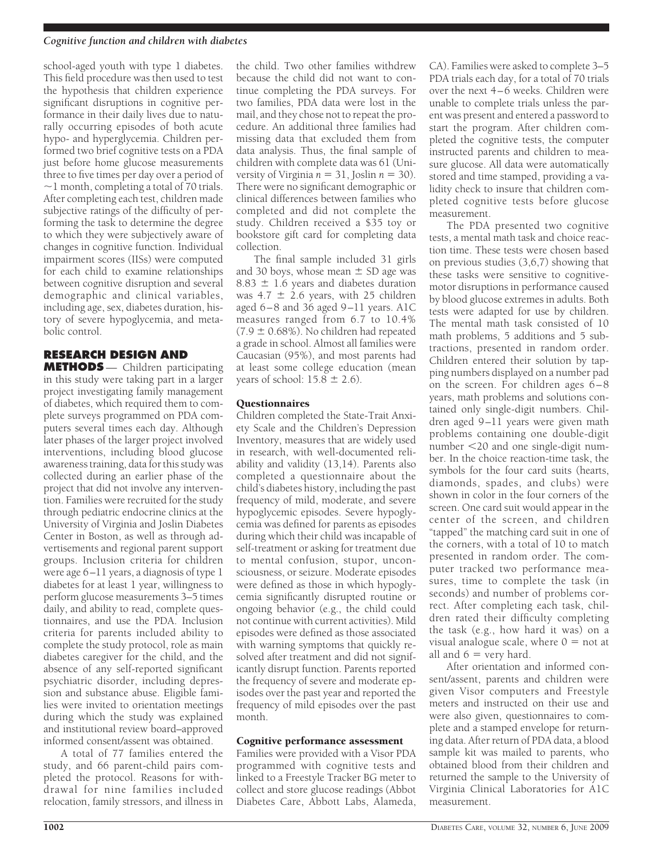### *Cognitive function and children with diabetes*

school-aged youth with type 1 diabetes. This field procedure was then used to test the hypothesis that children experience significant disruptions in cognitive performance in their daily lives due to naturally occurring episodes of both acute hypo- and hyperglycemia. Children performed two brief cognitive tests on a PDA just before home glucose measurements three to five times per day over a period of  $\sim$ 1 month, completing a total of 70 trials. After completing each test, children made subjective ratings of the difficulty of performing the task to determine the degree to which they were subjectively aware of changes in cognitive function. Individual impairment scores (IISs) were computed for each child to examine relationships between cognitive disruption and several demographic and clinical variables, including age, sex, diabetes duration, history of severe hypoglycemia, and metabolic control.

# **RESEARCH DESIGN AND**

**METHODS** — Children participating in this study were taking part in a larger project investigating family management of diabetes, which required them to complete surveys programmed on PDA computers several times each day. Although later phases of the larger project involved interventions, including blood glucose awareness training, data for this study was collected during an earlier phase of the project that did not involve any intervention. Families were recruited for the study through pediatric endocrine clinics at the University of Virginia and Joslin Diabetes Center in Boston, as well as through advertisements and regional parent support groups. Inclusion criteria for children were age 6–11 years, a diagnosis of type 1 diabetes for at least 1 year, willingness to perform glucose measurements 3–5 times daily, and ability to read, complete questionnaires, and use the PDA. Inclusion criteria for parents included ability to complete the study protocol, role as main diabetes caregiver for the child, and the absence of any self-reported significant psychiatric disorder, including depression and substance abuse. Eligible families were invited to orientation meetings during which the study was explained and institutional review board–approved informed consent/assent was obtained.

A total of 77 families entered the study, and 66 parent-child pairs completed the protocol. Reasons for withdrawal for nine families included relocation, family stressors, and illness in

the child. Two other families withdrew because the child did not want to continue completing the PDA surveys. For two families, PDA data were lost in the mail, and they chose not to repeat the procedure. An additional three families had missing data that excluded them from data analysis. Thus, the final sample of children with complete data was 61 (University of Virginia  $n = 31$ , Joslin  $n = 30$ ). There were no significant demographic or clinical differences between families who completed and did not complete the study. Children received a \$35 toy or bookstore gift card for completing data collection.

The final sample included 31 girls and 30 boys, whose mean  $\pm$  SD age was  $8.83 \pm 1.6$  years and diabetes duration was  $4.7 \pm 2.6$  years, with 25 children aged 6–8 and 36 aged 9–11 years. A1C measures ranged from 6.7 to 10.4%  $(7.9 \pm 0.68\%)$ . No children had repeated a grade in school. Almost all families were Caucasian (95%), and most parents had at least some college education (mean years of school:  $15.8 \pm 2.6$ ).

# **Ouestionnaires**

Children completed the State-Trait Anxiety Scale and the Children's Depression Inventory, measures that are widely used in research, with well-documented reliability and validity (13,14). Parents also completed a questionnaire about the child's diabetes history, including the past frequency of mild, moderate, and severe hypoglycemic episodes. Severe hypoglycemia was defined for parents as episodes during which their child was incapable of self-treatment or asking for treatment due to mental confusion, stupor, unconsciousness, or seizure. Moderate episodes were defined as those in which hypoglycemia significantly disrupted routine or ongoing behavior (e.g., the child could not continue with current activities). Mild episodes were defined as those associated with warning symptoms that quickly resolved after treatment and did not significantly disrupt function. Parents reported the frequency of severe and moderate episodes over the past year and reported the frequency of mild episodes over the past month.

# Cognitive performance assessment

Families were provided with a Visor PDA programmed with cognitive tests and linked to a Freestyle Tracker BG meter to collect and store glucose readings (Abbot Diabetes Care, Abbott Labs, Alameda, CA). Families were asked to complete 3–5 PDA trials each day, for a total of 70 trials over the next 4–6 weeks. Children were unable to complete trials unless the parent was present and entered a password to start the program. After children completed the cognitive tests, the computer instructed parents and children to measure glucose. All data were automatically stored and time stamped, providing a validity check to insure that children completed cognitive tests before glucose measurement.

The PDA presented two cognitive tests, a mental math task and choice reaction time. These tests were chosen based on previous studies (3,6,7) showing that these tasks were sensitive to cognitivemotor disruptions in performance caused by blood glucose extremes in adults. Both tests were adapted for use by children. The mental math task consisted of 10 math problems, 5 additions and 5 subtractions, presented in random order. Children entered their solution by tapping numbers displayed on a number pad on the screen. For children ages 6–8 years, math problems and solutions contained only single-digit numbers. Children aged 9–11 years were given math problems containing one double-digit number -20 and one single-digit number. In the choice reaction-time task, the symbols for the four card suits (hearts, diamonds, spades, and clubs) were shown in color in the four corners of the screen. One card suit would appear in the center of the screen, and children "tapped" the matching card suit in one of the corners, with a total of 10 to match presented in random order. The computer tracked two performance measures, time to complete the task (in seconds) and number of problems correct. After completing each task, children rated their difficulty completing the task (e.g., how hard it was) on a visual analogue scale, where  $0 = \text{not at }$ all and  $6 =$  very hard.

After orientation and informed consent/assent, parents and children were given Visor computers and Freestyle meters and instructed on their use and were also given, questionnaires to complete and a stamped envelope for returning data. After return of PDA data, a blood sample kit was mailed to parents, who obtained blood from their children and returned the sample to the University of Virginia Clinical Laboratories for A1C measurement.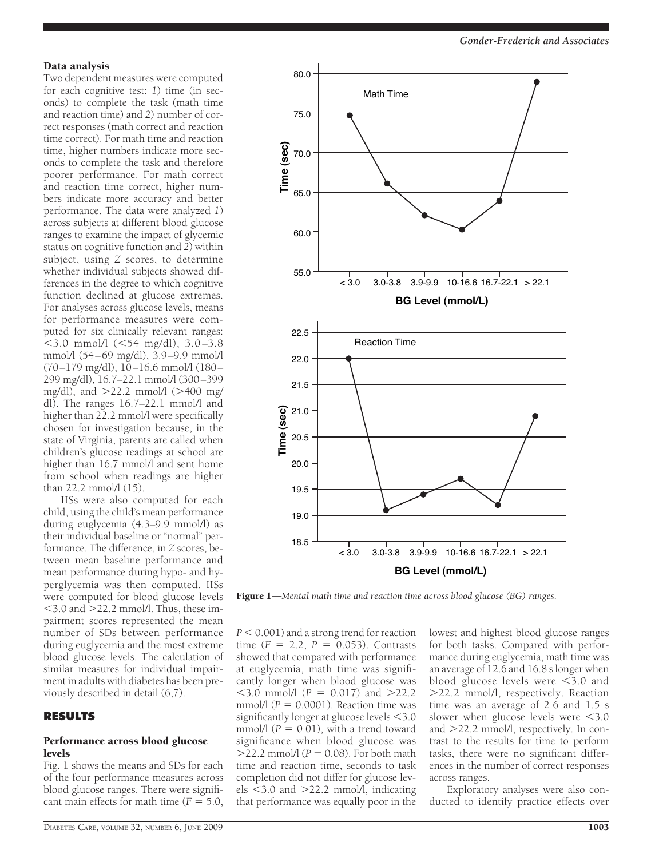#### Data analysis

Two dependent measures were computed for each cognitive test: *1*) time (in seconds) to complete the task (math time and reaction time) and *2*) number of correct responses (math correct and reaction time correct). For math time and reaction time, higher numbers indicate more seconds to complete the task and therefore poorer performance. For math correct and reaction time correct, higher numbers indicate more accuracy and better performance. The data were analyzed *1*) across subjects at different blood glucose ranges to examine the impact of glycemic status on cognitive function and *2*) within subject, using *Z* scores, to determine whether individual subjects showed differences in the degree to which cognitive function declined at glucose extremes. For analyses across glucose levels, means for performance measures were computed for six clinically relevant ranges:  $<$ 3.0 mmol/l ( $<$ 54 mg/dl), 3.0–3.8 mmol/l (54–69 mg/dl), 3.9–9.9 mmol/l (70–179 mg/dl), 10–16.6 mmol/l (180– 299 mg/dl), 16.7–22.1 mmol/l (300–399 mg/dl), and  $>22.2$  mmol/l ( $>400$  mg/ dl). The ranges 16.7–22.1 mmol/l and higher than 22.2 mmol/l were specifically chosen for investigation because, in the state of Virginia, parents are called when children's glucose readings at school are higher than 16.7 mmol/l and sent home from school when readings are higher than 22.2 mmol/l (15).

IISs were also computed for each child, using the child's mean performance during euglycemia (4.3–9.9 mmol/l) as their individual baseline or "normal" performance. The difference, in *Z* scores, between mean baseline performance and mean performance during hypo- and hyperglycemia was then computed. IISs were computed for blood glucose levels -3.0 and 22.2 mmol/l. Thus, these impairment scores represented the mean number of SDs between performance during euglycemia and the most extreme blood glucose levels. The calculation of similar measures for individual impairment in adults with diabetes has been previously described in detail (6,7).

#### **RESULTS**

# Performance across blood glucose levels

Fig. 1 shows the means and SDs for each of the four performance measures across blood glucose ranges. There were significant main effects for math time  $(F = 5.0$ ,



Figure 1—*Mental math time and reaction time across blood glucose (BG) ranges.*

 $P < 0.001$ ) and a strong trend for reaction time  $(F = 2.2, P = 0.053)$ . Contrasts showed that compared with performance at euglycemia, math time was significantly longer when blood glucose was  $<$ 3.0 mmol/l ( $P = 0.017$ ) and  $>$ 22.2 mmol/l  $(P = 0.0001)$ . Reaction time was  $significantly longer at glucose levels <  $3.0$$ mmol/l  $(P = 0.01)$ , with a trend toward significance when blood glucose was  $>$ 22.2 mmol/l ( $P = 0.08$ ). For both math time and reaction time, seconds to task completion did not differ for glucose levels <3.0 and >22.2 mmol/l, indicating that performance was equally poor in the

lowest and highest blood glucose ranges for both tasks. Compared with performance during euglycemia, math time was an average of 12.6 and 16.8 s longer when blood glucose levels were  $\leq$ 3.0 and 22.2 mmol/l, respectively. Reaction time was an average of 2.6 and 1.5 s slower when glucose levels were <3.0 and 22.2 mmol/l, respectively. In contrast to the results for time to perform tasks, there were no significant differences in the number of correct responses across ranges.

Exploratory analyses were also conducted to identify practice effects over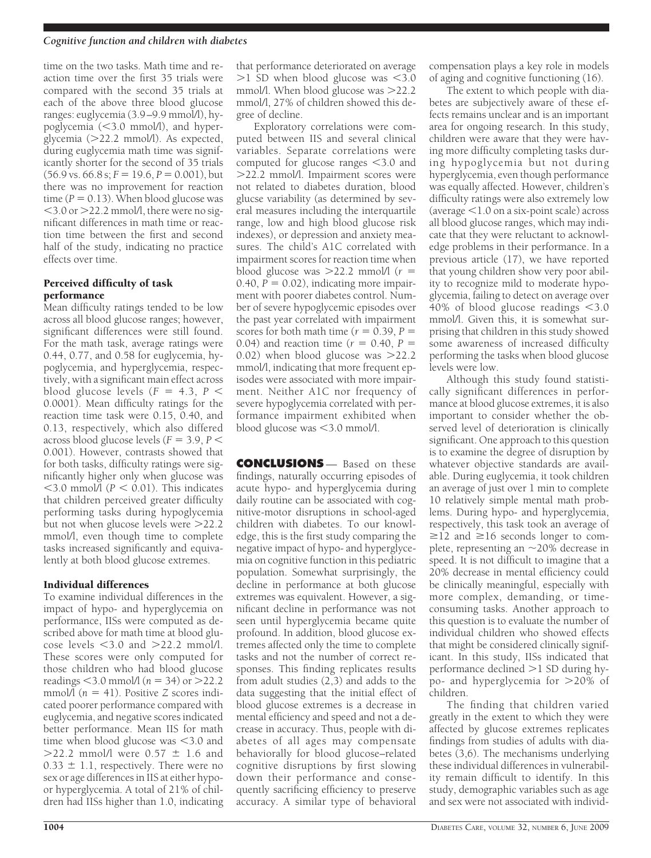### *Cognitive function and children with diabetes*

time on the two tasks. Math time and reaction time over the first 35 trials were compared with the second 35 trials at each of the above three blood glucose ranges: euglycemia (3.9–9.9 mmol/l), hypoglycemia (<3.0 mmol/l), and hyperglycemia (22.2 mmol/l). As expected, during euglycemia math time was significantly shorter for the second of 35 trials  $(56.9 \text{ vs. } 66.8 \text{ s}; F = 19.6, P = 0.001)$ , but there was no improvement for reaction time  $(P = 0.13)$ . When blood glucose was -3.0 or 22.2 mmol/l, there were no significant differences in math time or reaction time between the first and second half of the study, indicating no practice effects over time.

# Perceived difficulty of task performance

Mean difficulty ratings tended to be low across all blood glucose ranges; however, significant differences were still found. For the math task, average ratings were 0.44, 0.77, and 0.58 for euglycemia, hypoglycemia, and hyperglycemia, respectively, with a significant main effect across blood glucose levels  $(F = 4.3, P <$ 0.0001). Mean difficulty ratings for the reaction time task were 0.15, 0.40, and 0.13, respectively, which also differed across blood glucose levels ( $F = 3.9, P <$ 0.001). However, contrasts showed that for both tasks, difficulty ratings were significantly higher only when glucose was  $\leq$ 3.0 mmol/l ( $P \leq 0.01$ ). This indicates that children perceived greater difficulty performing tasks during hypoglycemia but not when glucose levels were 22.2 mmol/l, even though time to complete tasks increased significantly and equivalently at both blood glucose extremes.

# Individual differences

To examine individual differences in the impact of hypo- and hyperglycemia on performance, IISs were computed as described above for math time at blood glucose levels  $<$ 3.0 and  $>$ 22.2 mmol/l. These scores were only computed for those children who had blood glucose readings  $<$  3.0 mmol/l ( $n = 34$ ) or  $>$  22.2 mmol $\widetilde{I}(n = 41)$ . Positive *Z* scores indicated poorer performance compared with euglycemia, and negative scores indicated better performance. Mean IIS for math time when blood glucose was  $\leq$ 3.0 and  $>$ 22.2 mmol/l were 0.57  $\pm$  1.6 and  $0.33 \pm 1.1$ , respectively. There were no sex or age differences in IIS at either hypoor hyperglycemia. A total of 21% of children had IISs higher than 1.0, indicating

that performance deteriorated on average  $>1$  SD when blood glucose was  $<$ 3.0 mmol/l. When blood glucose was >22.2 mmol/l, 27% of children showed this degree of decline.

Exploratory correlations were computed between IIS and several clinical variables. Separate correlations were computed for glucose ranges <3.0 and 22.2 mmol/l. Impairment scores were not related to diabetes duration, blood glucse variability (as determined by several measures including the interquartile range, low and high blood glucose risk indexes), or depression and anxiety measures. The child's A1C correlated with impairment scores for reaction time when blood glucose was  $>22.2$  mmol/l ( $r =$  $0.40, P = 0.02$ ), indicating more impairment with poorer diabetes control. Number of severe hypoglycemic episodes over the past year correlated with impairment scores for both math time  $(r = 0.39, P =$ 0.04) and reaction time  $(r = 0.40, P =$ 0.02) when blood glucose was  $>22.2$ mmol/l, indicating that more frequent episodes were associated with more impairment. Neither A1C nor frequency of severe hypoglycemia correlated with performance impairment exhibited when blood glucose was <3.0 mmol/l.

**CONCLUSIONS** — Based on these findings, naturally occurring episodes of acute hypo- and hyperglycemia during daily routine can be associated with cognitive-motor disruptions in school-aged children with diabetes. To our knowledge, this is the first study comparing the negative impact of hypo- and hyperglycemia on cognitive function in this pediatric population. Somewhat surprisingly, the decline in performance at both glucose extremes was equivalent. However, a significant decline in performance was not seen until hyperglycemia became quite profound. In addition, blood glucose extremes affected only the time to complete tasks and not the number of correct responses. This finding replicates results from adult studies (2,3) and adds to the data suggesting that the initial effect of blood glucose extremes is a decrease in mental efficiency and speed and not a decrease in accuracy. Thus, people with diabetes of all ages may compensate behaviorally for blood glucose–related cognitive disruptions by first slowing down their performance and consequently sacrificing efficiency to preserve accuracy. A similar type of behavioral

compensation plays a key role in models of aging and cognitive functioning (16).

The extent to which people with diabetes are subjectively aware of these effects remains unclear and is an important area for ongoing research. In this study, children were aware that they were having more difficulty completing tasks during hypoglycemia but not during hyperglycemia, even though performance was equally affected. However, children's difficulty ratings were also extremely low (average -1.0 on a six-point scale) across all blood glucose ranges, which may indicate that they were reluctant to acknowledge problems in their performance. In a previous article (17), we have reported that young children show very poor ability to recognize mild to moderate hypoglycemia, failing to detect on average over 40% of blood glucose readings <3.0 mmol/l. Given this, it is somewhat surprising that children in this study showed some awareness of increased difficulty performing the tasks when blood glucose levels were low.

Although this study found statistically significant differences in performance at blood glucose extremes, it is also important to consider whether the observed level of deterioration is clinically significant. One approach to this question is to examine the degree of disruption by whatever objective standards are available. During euglycemia, it took children an average of just over 1 min to complete 10 relatively simple mental math problems. During hypo- and hyperglycemia, respectively, this task took an average of  $\geq$ 12 and  $\geq$ 16 seconds longer to complete, representing an  $\sim$  20% decrease in speed. It is not difficult to imagine that a 20% decrease in mental efficiency could be clinically meaningful, especially with more complex, demanding, or timeconsuming tasks. Another approach to this question is to evaluate the number of individual children who showed effects that might be considered clinically significant. In this study, IISs indicated that performance declined  $>1$  SD during hypo- and hyperglycemia for 20% of children.

The finding that children varied greatly in the extent to which they were affected by glucose extremes replicates findings from studies of adults with diabetes (3,6). The mechanisms underlying these individual differences in vulnerability remain difficult to identify. In this study, demographic variables such as age and sex were not associated with individ-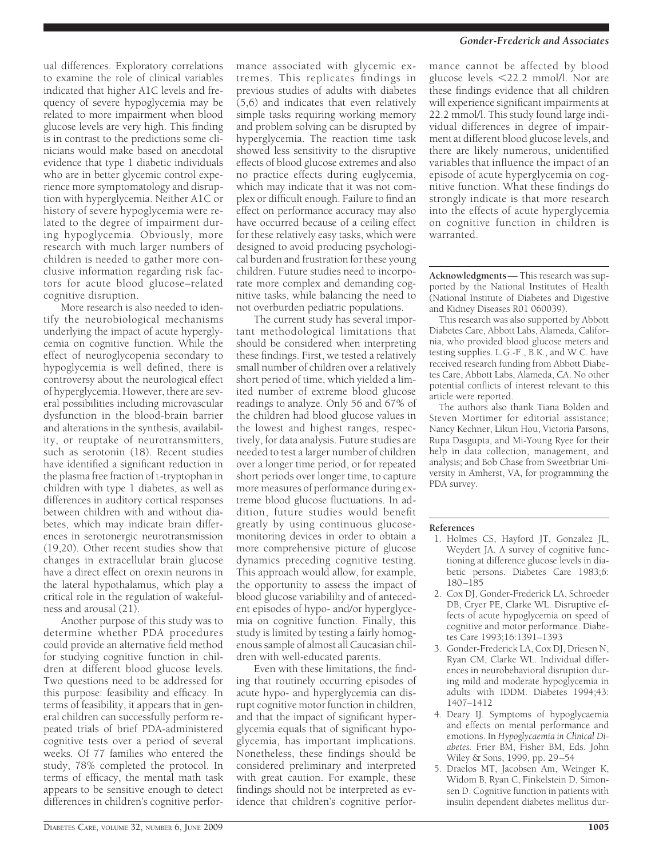ual differences. Exploratory correlations to examine the role of clinical variables indicated that higher A1C levels and frequency of severe hypoglycemia may be related to more impairment when blood glucose levels are very high. This finding is in contrast to the predictions some clinicians would make based on anecdotal evidence that type 1 diabetic individuals who are in better glycemic control experience more symptomatology and disruption with hyperglycemia. Neither A1C or history of severe hypoglycemia were related to the degree of impairment during hypoglycemia. Obviously, more research with much larger numbers of children is needed to gather more conclusive information regarding risk factors for acute blood glucose–related cognitive disruption.

More research is also needed to identify the neurobiological mechanisms underlying the impact of acute hyperglycemia on cognitive function. While the effect of neuroglycopenia secondary to hypoglycemia is well defined, there is controversy about the neurological effect of hyperglycemia. However, there are several possibilities including microvascular dysfunction in the blood-brain barrier and alterations in the synthesis, availability, or reuptake of neurotransmitters, such as serotonin (18). Recent studies have identified a significant reduction in the plasma free fraction of L-tryptophan in children with type 1 diabetes, as well as differences in auditory cortical responses between children with and without diabetes, which may indicate brain differences in serotonergic neurotransmission (19,20). Other recent studies show that changes in extracellular brain glucose have a direct effect on orexin neurons in the lateral hypothalamus, which play a critical role in the regulation of wakefulness and arousal (21).

Another purpose of this study was to determine whether PDA procedures could provide an alternative field method for studying cognitive function in children at different blood glucose levels. Two questions need to be addressed for this purpose: feasibility and efficacy. In terms of feasibility, it appears that in general children can successfully perform repeated trials of brief PDA-administered cognitive tests over a period of several weeks. Of 77 families who entered the study, 78% completed the protocol. In terms of efficacy, the mental math task appears to be sensitive enough to detect differences in children's cognitive performance associated with glycemic extremes. This replicates findings in previous studies of adults with diabetes (5,6) and indicates that even relatively simple tasks requiring working memory and problem solving can be disrupted by hyperglycemia. The reaction time task showed less sensitivity to the disruptive effects of blood glucose extremes and also no practice effects during euglycemia, which may indicate that it was not complex or difficult enough. Failure to find an effect on performance accuracy may also have occurred because of a ceiling effect for these relatively easy tasks, which were designed to avoid producing psychological burden and frustration for these young children. Future studies need to incorporate more complex and demanding cognitive tasks, while balancing the need to not overburden pediatric populations.

The current study has several important methodological limitations that should be considered when interpreting these findings. First, we tested a relatively small number of children over a relatively short period of time, which yielded a limited number of extreme blood glucose readings to analyze. Only 56 and 67% of the children had blood glucose values in the lowest and highest ranges, respectively, for data analysis. Future studies are needed to test a larger number of children over a longer time period, or for repeated short periods over longer time, to capture more measures of performance during extreme blood glucose fluctuations. In addition, future studies would benefit greatly by using continuous glucosemonitoring devices in order to obtain a more comprehensive picture of glucose dynamics preceding cognitive testing. This approach would allow, for example, the opportunity to assess the impact of blood glucose variabililty and of antecedent episodes of hypo- and/or hyperglycemia on cognitive function. Finally, this study is limited by testing a fairly homogenous sample of almost all Caucasian children with well-educated parents.

Even with these limitations, the finding that routinely occurring episodes of acute hypo- and hyperglycemia can disrupt cognitive motor function in children, and that the impact of significant hyperglycemia equals that of significant hypoglycemia, has important implications. Nonetheless, these findings should be considered preliminary and interpreted with great caution. For example, these findings should not be interpreted as evidence that children's cognitive perfor-

# *Gonder-Frederick and Associates*

mance cannot be affected by blood glucose levels -22.2 mmol/l. Nor are these findings evidence that all children will experience significant impairments at 22.2 mmol/l. This study found large individual differences in degree of impairment at different blood glucose levels, and there are likely numerous, unidentified variables that influence the impact of an episode of acute hyperglycemia on cognitive function. What these findings do strongly indicate is that more research into the effects of acute hyperglycemia on cognitive function in children is warranted.

**Acknowledgments**— This research was supported by the National Institutes of Health (National Institute of Diabetes and Digestive and Kidney Diseases R01 060039).

This research was also supported by Abbott Diabetes Care, Abbott Labs, Alameda, California, who provided blood glucose meters and testing supplies. L.G.-F., B.K., and W.C. have received research funding from Abbott Diabetes Care, Abbott Labs, Alameda, CA. No other potential conflicts of interest relevant to this article were reported.

The authors also thank Tiana Bolden and Steven Mortimer for editorial assistance; Nancy Kechner, Likun Hou, Victoria Parsons, Rupa Dasgupta, and Mi-Young Ryee for their help in data collection, management, and analysis; and Bob Chase from Sweetbriar University in Amherst, VA, for programming the PDA survey.

#### **References**

- 1. Holmes CS, Hayford JT, Gonzalez JL, Weydert JA. A survey of cognitive functioning at difference glucose levels in diabetic persons. Diabetes Care 1983;6: 180–185
- 2. Cox DJ, Gonder-Frederick LA, Schroeder DB, Cryer PE, Clarke WL. Disruptive effects of acute hypoglycemia on speed of cognitive and motor performance. Diabetes Care 1993;16:1391–1393
- 3. Gonder-Frederick LA, Cox DJ, Driesen N, Ryan CM, Clarke WL. Individual differences in neurobehavioral disruption during mild and moderate hypoglycemia in adults with IDDM. Diabetes 1994;43: 1407–1412
- 4. Deary IJ. Symptoms of hypoglycaemia and effects on mental performance and emotions. In *Hypoglycaemia in Clinical Diabetes.* Frier BM, Fisher BM, Eds. John Wiley & Sons, 1999, pp. 29–54
- 5. Draelos MT, Jacobsen Am, Weinger K, Widom B, Ryan C, Finkelstein D, Simonsen D. Cognitive function in patients with insulin dependent diabetes mellitus dur-